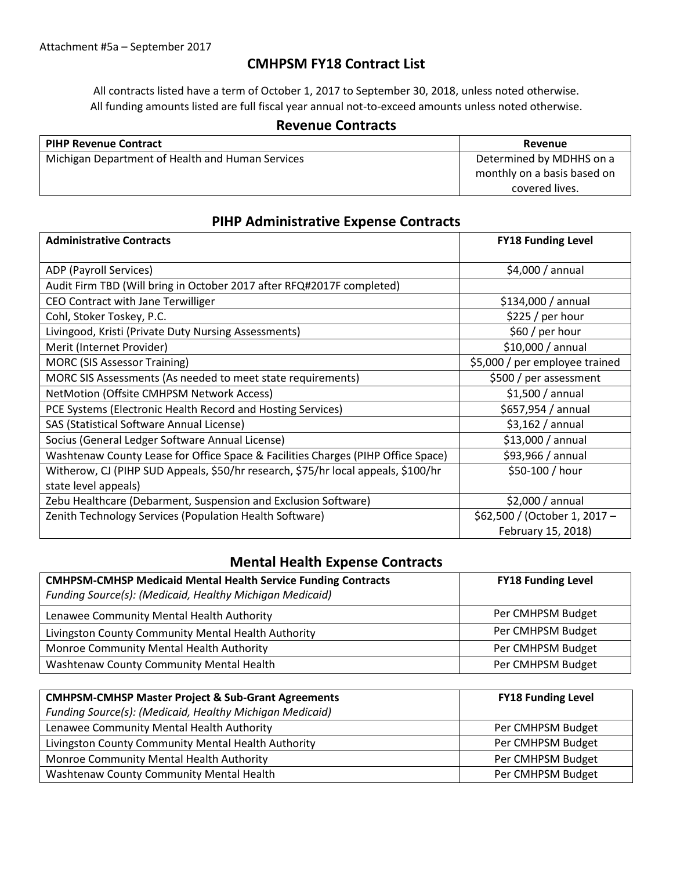## **CMHPSM FY18 Contract List**

All contracts listed have a term of October 1, 2017 to September 30, 2018, unless noted otherwise. All funding amounts listed are full fiscal year annual not-to-exceed amounts unless noted otherwise.

### **Revenue Contracts**

| <b>PIHP Revenue Contract</b>                     | Revenue                     |
|--------------------------------------------------|-----------------------------|
| Michigan Department of Health and Human Services | Determined by MDHHS on a    |
|                                                  | monthly on a basis based on |
|                                                  | covered lives.              |

## **PIHP Administrative Expense Contracts**

| <b>Administrative Contracts</b>                                                   | <b>FY18 Funding Level</b>      |
|-----------------------------------------------------------------------------------|--------------------------------|
|                                                                                   |                                |
| ADP (Payroll Services)                                                            | \$4,000 / annual               |
| Audit Firm TBD (Will bring in October 2017 after RFQ#2017F completed)             |                                |
| CEO Contract with Jane Terwilliger                                                | $$134,000 /$ annual            |
| Cohl, Stoker Toskey, P.C.                                                         | \$225/per hour                 |
| Livingood, Kristi (Private Duty Nursing Assessments)                              | \$60 / per hour                |
| Merit (Internet Provider)                                                         | \$10,000 / annual              |
| <b>MORC (SIS Assessor Training)</b>                                               | \$5,000 / per employee trained |
| MORC SIS Assessments (As needed to meet state requirements)                       | \$500 / per assessment         |
| NetMotion (Offsite CMHPSM Network Access)                                         | \$1,500/annual                 |
| PCE Systems (Electronic Health Record and Hosting Services)                       | \$657,954 / annual             |
| SAS (Statistical Software Annual License)                                         | \$3,162/annual                 |
| Socius (General Ledger Software Annual License)                                   | \$13,000 / annual              |
| Washtenaw County Lease for Office Space & Facilities Charges (PIHP Office Space)  | \$93,966 / annual              |
| Witherow, CJ (PIHP SUD Appeals, \$50/hr research, \$75/hr local appeals, \$100/hr | \$50-100 / hour                |
| state level appeals)                                                              |                                |
| Zebu Healthcare (Debarment, Suspension and Exclusion Software)                    | \$2,000 / annual               |
| Zenith Technology Services (Population Health Software)                           | \$62,500 / (October 1, 2017 -  |
|                                                                                   | February 15, 2018)             |

## **Mental Health Expense Contracts**

| <b>CMHPSM-CMHSP Medicaid Mental Health Service Funding Contracts</b><br>Funding Source(s): (Medicaid, Healthy Michigan Medicaid) | <b>FY18 Funding Level</b> |
|----------------------------------------------------------------------------------------------------------------------------------|---------------------------|
| Lenawee Community Mental Health Authority                                                                                        | Per CMHPSM Budget         |
| Livingston County Community Mental Health Authority                                                                              | Per CMHPSM Budget         |
| Monroe Community Mental Health Authority                                                                                         | Per CMHPSM Budget         |
| Washtenaw County Community Mental Health                                                                                         | Per CMHPSM Budget         |

| <b>CMHPSM-CMHSP Master Project &amp; Sub-Grant Agreements</b> | <b>FY18 Funding Level</b> |
|---------------------------------------------------------------|---------------------------|
| Funding Source(s): (Medicaid, Healthy Michigan Medicaid)      |                           |
| Lenawee Community Mental Health Authority                     | Per CMHPSM Budget         |
| Livingston County Community Mental Health Authority           | Per CMHPSM Budget         |
| Monroe Community Mental Health Authority                      | Per CMHPSM Budget         |
| Washtenaw County Community Mental Health                      | Per CMHPSM Budget         |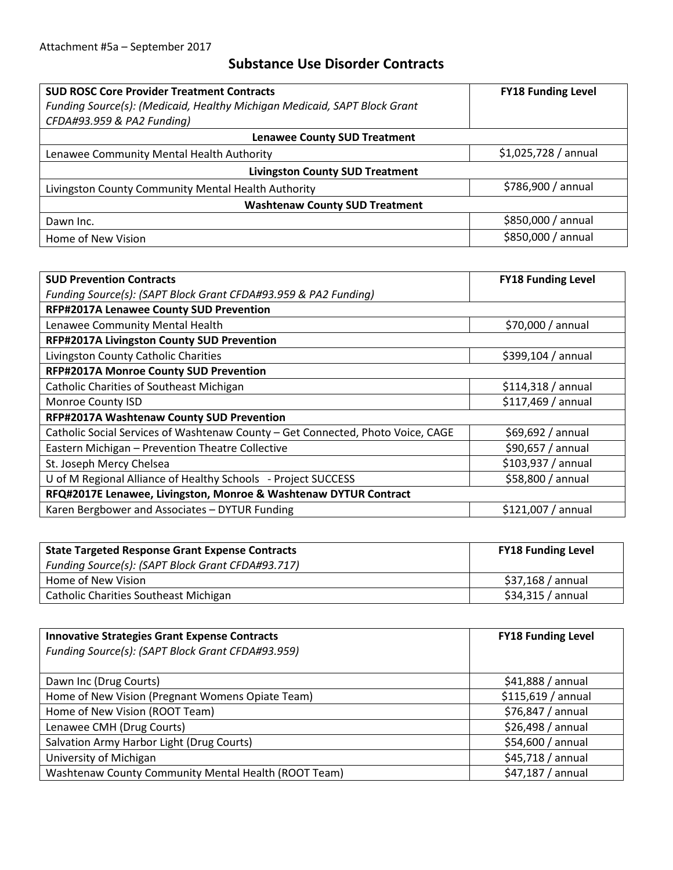## **Substance Use Disorder Contracts**

| <b>SUD ROSC Core Provider Treatment Contracts</b>                         | <b>FY18 Funding Level</b> |  |  |
|---------------------------------------------------------------------------|---------------------------|--|--|
| Funding Source(s): (Medicaid, Healthy Michigan Medicaid, SAPT Block Grant |                           |  |  |
| CFDA#93.959 & PA2 Funding)                                                |                           |  |  |
| <b>Lenawee County SUD Treatment</b>                                       |                           |  |  |
| Lenawee Community Mental Health Authority                                 | \$1,025,728/annual        |  |  |
| <b>Livingston County SUD Treatment</b>                                    |                           |  |  |
| Livingston County Community Mental Health Authority                       | \$786,900 / annual        |  |  |
| <b>Washtenaw County SUD Treatment</b>                                     |                           |  |  |
| Dawn Inc.                                                                 | \$850,000 / annual        |  |  |
| Home of New Vision                                                        | \$850,000 / annual        |  |  |

| <b>SUD Prevention Contracts</b>                                                 | <b>FY18 Funding Level</b> |  |  |
|---------------------------------------------------------------------------------|---------------------------|--|--|
| Funding Source(s): (SAPT Block Grant CFDA#93.959 & PA2 Funding)                 |                           |  |  |
| RFP#2017A Lenawee County SUD Prevention                                         |                           |  |  |
| Lenawee Community Mental Health                                                 | \$70,000 / annual         |  |  |
| RFP#2017A Livingston County SUD Prevention                                      |                           |  |  |
| Livingston County Catholic Charities                                            | \$399,104 / annual        |  |  |
| RFP#2017A Monroe County SUD Prevention                                          |                           |  |  |
| Catholic Charities of Southeast Michigan                                        | \$114,318 / annual        |  |  |
| Monroe County ISD                                                               | \$117,469 / annual        |  |  |
| RFP#2017A Washtenaw County SUD Prevention                                       |                           |  |  |
| Catholic Social Services of Washtenaw County - Get Connected, Photo Voice, CAGE | \$69,692/annual           |  |  |
| Eastern Michigan - Prevention Theatre Collective                                | \$90,657 / annual         |  |  |
| St. Joseph Mercy Chelsea                                                        | \$103,937 / annual        |  |  |
| U of M Regional Alliance of Healthy Schools - Project SUCCESS                   | \$58,800 / annual         |  |  |
| RFQ#2017E Lenawee, Livingston, Monroe & Washtenaw DYTUR Contract                |                           |  |  |
| Karen Bergbower and Associates - DYTUR Funding                                  | $$121,007/$ annual        |  |  |

| <b>State Targeted Response Grant Expense Contracts</b> | <b>FY18 Funding Level</b> |
|--------------------------------------------------------|---------------------------|
| Funding Source(s): (SAPT Block Grant CFDA#93.717)      |                           |
| Home of New Vision                                     | \$37,168 / annual         |
| Catholic Charities Southeast Michigan                  | \$34,315/annual           |

| <b>Innovative Strategies Grant Expense Contracts</b> | <b>FY18 Funding Level</b> |
|------------------------------------------------------|---------------------------|
| Funding Source(s): (SAPT Block Grant CFDA#93.959)    |                           |
|                                                      |                           |
| Dawn Inc (Drug Courts)                               | \$41,888/annual           |
| Home of New Vision (Pregnant Womens Opiate Team)     | \$115,619 / annual        |
| Home of New Vision (ROOT Team)                       | \$76,847 / annual         |
| Lenawee CMH (Drug Courts)                            | \$26,498 / annual         |
| Salvation Army Harbor Light (Drug Courts)            | \$54,600 / annual         |
| University of Michigan                               | \$45,718 / annual         |
| Washtenaw County Community Mental Health (ROOT Team) | \$47,187 / annual         |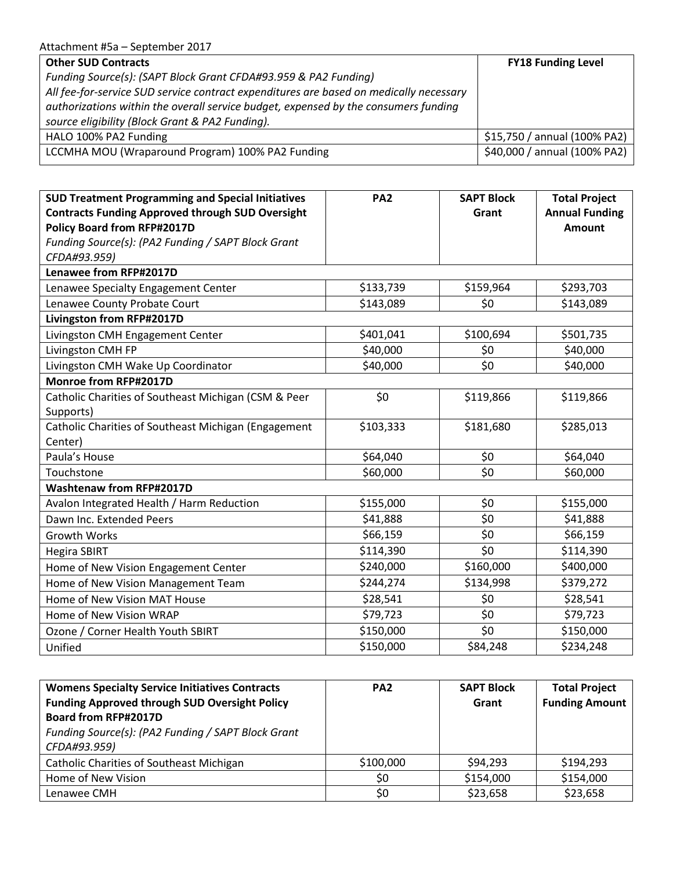#### Attachment #5a – September 2017

| <b>Other SUD Contracts</b>                                                             | <b>FY18 Funding Level</b>    |
|----------------------------------------------------------------------------------------|------------------------------|
| Funding Source(s): (SAPT Block Grant CFDA#93.959 & PA2 Funding)                        |                              |
| All fee-for-service SUD service contract expenditures are based on medically necessary |                              |
| authorizations within the overall service budget, expensed by the consumers funding    |                              |
| source eligibility (Block Grant & PA2 Funding).                                        |                              |
| HALO 100% PA2 Funding                                                                  | \$15,750 / annual (100% PA2) |
| LCCMHA MOU (Wraparound Program) 100% PA2 Funding                                       | \$40,000 / annual (100% PA2) |

| <b>SUD Treatment Programming and Special Initiatives</b> | PA <sub>2</sub> | <b>SAPT Block</b> | <b>Total Project</b>  |
|----------------------------------------------------------|-----------------|-------------------|-----------------------|
| <b>Contracts Funding Approved through SUD Oversight</b>  |                 | Grant             | <b>Annual Funding</b> |
| <b>Policy Board from RFP#2017D</b>                       |                 |                   | <b>Amount</b>         |
| Funding Source(s): (PA2 Funding / SAPT Block Grant       |                 |                   |                       |
| CFDA#93.959)                                             |                 |                   |                       |
| Lenawee from RFP#2017D                                   |                 |                   |                       |
| Lenawee Specialty Engagement Center                      | \$133,739       | \$159,964         | \$293,703             |
| Lenawee County Probate Court                             | \$143,089       | \$0               | \$143,089             |
| Livingston from RFP#2017D                                |                 |                   |                       |
| Livingston CMH Engagement Center                         | \$401,041       | \$100,694         | \$501,735             |
| Livingston CMH FP                                        | \$40,000        | \$0               | \$40,000              |
| Livingston CMH Wake Up Coordinator                       | \$40,000        | \$0               | \$40,000              |
| <b>Monroe from RFP#2017D</b>                             |                 |                   |                       |
| Catholic Charities of Southeast Michigan (CSM & Peer     | \$0             | \$119,866         | \$119,866             |
| Supports)                                                |                 |                   |                       |
| Catholic Charities of Southeast Michigan (Engagement     | \$103,333       | \$181,680         | \$285,013             |
| Center)                                                  |                 |                   |                       |
| Paula's House                                            | \$64,040        | \$0               | \$64,040              |
| Touchstone                                               | \$60,000        | \$0               | \$60,000              |
| <b>Washtenaw from RFP#2017D</b>                          |                 |                   |                       |
| Avalon Integrated Health / Harm Reduction                | \$155,000       | \$0               | \$155,000             |
| Dawn Inc. Extended Peers                                 | \$41,888        | \$0               | \$41,888              |
| <b>Growth Works</b>                                      | \$66,159        | \$0               | \$66,159              |
| <b>Hegira SBIRT</b>                                      | \$114,390       | \$0               | \$114,390             |
| Home of New Vision Engagement Center                     | \$240,000       | \$160,000         | \$400,000             |
| Home of New Vision Management Team                       | \$244,274       | \$134,998         | \$379,272             |
| Home of New Vision MAT House                             | \$28,541        | \$0               | \$28,541              |
| Home of New Vision WRAP                                  | \$79,723        | \$0               | \$79,723              |
| Ozone / Corner Health Youth SBIRT                        | \$150,000       | \$0               | \$150,000             |
| Unified                                                  | \$150,000       | \$84,248          | \$234,248             |

| <b>Womens Specialty Service Initiatives Contracts</b> | PA <sub>2</sub> | <b>SAPT Block</b> | <b>Total Project</b>  |
|-------------------------------------------------------|-----------------|-------------------|-----------------------|
| <b>Funding Approved through SUD Oversight Policy</b>  |                 | Grant             | <b>Funding Amount</b> |
| <b>Board from RFP#2017D</b>                           |                 |                   |                       |
| Funding Source(s): (PA2 Funding / SAPT Block Grant    |                 |                   |                       |
| CFDA#93.959)                                          |                 |                   |                       |
| <b>Catholic Charities of Southeast Michigan</b>       | \$100,000       | \$94,293          | \$194,293             |
| Home of New Vision                                    | \$0             | \$154,000         | \$154,000             |
| Lenawee CMH                                           | \$0             | \$23,658          | \$23,658              |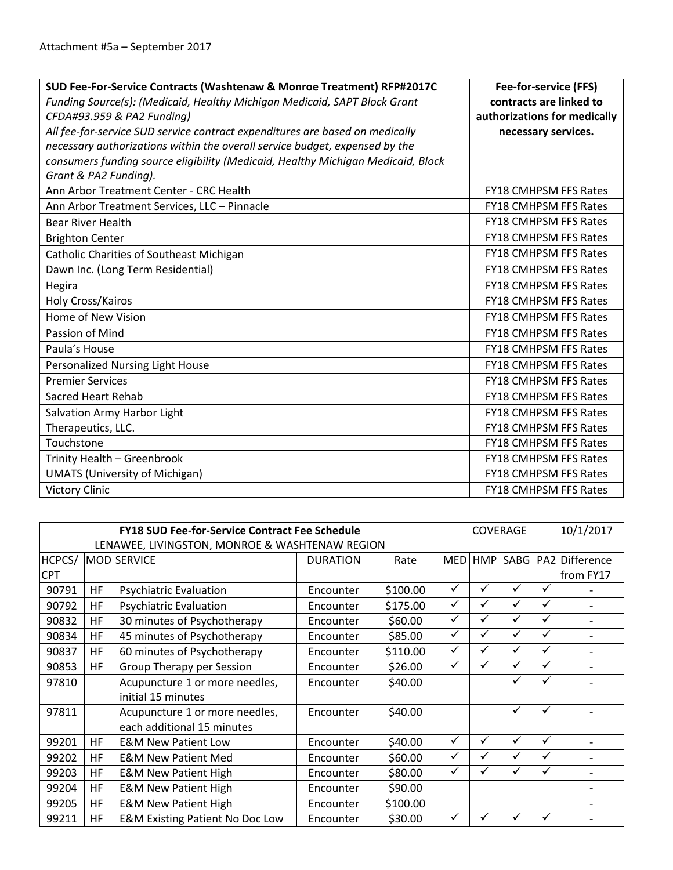| SUD Fee-For-Service Contracts (Washtenaw & Monroe Treatment) RFP#2017C<br>Funding Source(s): (Medicaid, Healthy Michigan Medicaid, SAPT Block Grant<br>CFDA#93.959 & PA2 Funding) | Fee-for-service (FFS)<br>contracts are linked to<br>authorizations for medically |
|-----------------------------------------------------------------------------------------------------------------------------------------------------------------------------------|----------------------------------------------------------------------------------|
| All fee-for-service SUD service contract expenditures are based on medically                                                                                                      | necessary services.                                                              |
| necessary authorizations within the overall service budget, expensed by the                                                                                                       |                                                                                  |
| consumers funding source eligibility (Medicaid, Healthy Michigan Medicaid, Block                                                                                                  |                                                                                  |
| Grant & PA2 Funding).                                                                                                                                                             |                                                                                  |
| Ann Arbor Treatment Center - CRC Health                                                                                                                                           | <b>FY18 CMHPSM FFS Rates</b>                                                     |
| Ann Arbor Treatment Services, LLC - Pinnacle                                                                                                                                      | <b>FY18 CMHPSM FFS Rates</b>                                                     |
| <b>Bear River Health</b>                                                                                                                                                          | <b>FY18 CMHPSM FFS Rates</b>                                                     |
| <b>Brighton Center</b>                                                                                                                                                            | <b>FY18 CMHPSM FFS Rates</b>                                                     |
| Catholic Charities of Southeast Michigan                                                                                                                                          | <b>FY18 CMHPSM FFS Rates</b>                                                     |
| Dawn Inc. (Long Term Residential)                                                                                                                                                 | <b>FY18 CMHPSM FFS Rates</b>                                                     |
| Hegira                                                                                                                                                                            | <b>FY18 CMHPSM FFS Rates</b>                                                     |
| Holy Cross/Kairos                                                                                                                                                                 | FY18 CMHPSM FFS Rates                                                            |
| Home of New Vision                                                                                                                                                                | <b>FY18 CMHPSM FFS Rates</b>                                                     |
| Passion of Mind                                                                                                                                                                   | <b>FY18 CMHPSM FFS Rates</b>                                                     |
| Paula's House                                                                                                                                                                     | <b>FY18 CMHPSM FFS Rates</b>                                                     |
| <b>Personalized Nursing Light House</b>                                                                                                                                           | <b>FY18 CMHPSM FFS Rates</b>                                                     |
| <b>Premier Services</b>                                                                                                                                                           | FY18 CMHPSM FFS Rates                                                            |
| Sacred Heart Rehab                                                                                                                                                                | <b>FY18 CMHPSM FFS Rates</b>                                                     |
| Salvation Army Harbor Light                                                                                                                                                       | <b>FY18 CMHPSM FFS Rates</b>                                                     |
| Therapeutics, LLC.                                                                                                                                                                | FY18 CMHPSM FFS Rates                                                            |
| Touchstone                                                                                                                                                                        | <b>FY18 CMHPSM FFS Rates</b>                                                     |
| Trinity Health - Greenbrook                                                                                                                                                       | <b>FY18 CMHPSM FFS Rates</b>                                                     |
| <b>UMATS (University of Michigan)</b>                                                                                                                                             | FY18 CMHPSM FFS Rates                                                            |
| <b>Victory Clinic</b>                                                                                                                                                             | <b>FY18 CMHPSM FFS Rates</b>                                                     |

|            |           | <b>FY18 SUD Fee-for-Service Contract Fee Schedule</b> |                 |          | <b>COVERAGE</b> |         |              |              | 10/1/2017               |
|------------|-----------|-------------------------------------------------------|-----------------|----------|-----------------|---------|--------------|--------------|-------------------------|
|            |           | LENAWEE, LIVINGSTON, MONROE & WASHTENAW REGION        |                 |          |                 |         |              |              |                         |
| HCPCS/     |           | MOD SERVICE                                           | <b>DURATION</b> | Rate     |                 | MED HMP |              |              | SABG   PA2   Difference |
| <b>CPT</b> |           |                                                       |                 |          |                 |         |              |              | from FY17               |
| 90791      | <b>HF</b> | <b>Psychiatric Evaluation</b>                         | Encounter       | \$100.00 | $\checkmark$    | ✓       | ✓            | $\checkmark$ |                         |
| 90792      | <b>HF</b> | <b>Psychiatric Evaluation</b>                         | Encounter       | \$175.00 |                 |         | ✓            | $\checkmark$ |                         |
| 90832      | <b>HF</b> | 30 minutes of Psychotherapy                           | Encounter       | \$60.00  | ✓               | ✓       | $\checkmark$ | $\checkmark$ |                         |
| 90834      | <b>HF</b> | 45 minutes of Psychotherapy                           | Encounter       | \$85.00  | ✓               | ✓       | $\checkmark$ | $\checkmark$ |                         |
| 90837      | <b>HF</b> | 60 minutes of Psychotherapy                           | Encounter       | \$110.00 | ✓               | ✓       | $\checkmark$ | $\checkmark$ |                         |
| 90853      | <b>HF</b> | Group Therapy per Session                             | Encounter       | \$26.00  | ✓               |         | ✓            | $\checkmark$ |                         |
| 97810      |           | Acupuncture 1 or more needles,                        | Encounter       | \$40.00  |                 |         |              | ✓            |                         |
|            |           | initial 15 minutes                                    |                 |          |                 |         |              |              |                         |
| 97811      |           | Acupuncture 1 or more needles,                        | Encounter       | \$40.00  |                 |         | ✓            | ✓            |                         |
|            |           | each additional 15 minutes                            |                 |          |                 |         |              |              |                         |
| 99201      | HF.       | <b>E&amp;M New Patient Low</b>                        | Encounter       | \$40.00  | ✓               | ✓       | $\checkmark$ | $\checkmark$ |                         |
| 99202      | <b>HF</b> | <b>E&amp;M New Patient Med</b>                        | Encounter       | \$60.00  | $\checkmark$    | √       | ✓            | $\checkmark$ |                         |
| 99203      | <b>HF</b> | <b>E&amp;M New Patient High</b>                       | Encounter       | \$80.00  | ✓               | ✓       | ✓            | $\checkmark$ |                         |
| 99204      | <b>HF</b> | <b>E&amp;M New Patient High</b>                       | Encounter       | \$90.00  |                 |         |              |              |                         |
| 99205      | <b>HF</b> | <b>E&amp;M New Patient High</b>                       | Encounter       | \$100.00 |                 |         |              |              |                         |
| 99211      | <b>HF</b> | <b>E&amp;M Existing Patient No Doc Low</b>            | Encounter       | \$30.00  |                 |         |              | $\checkmark$ |                         |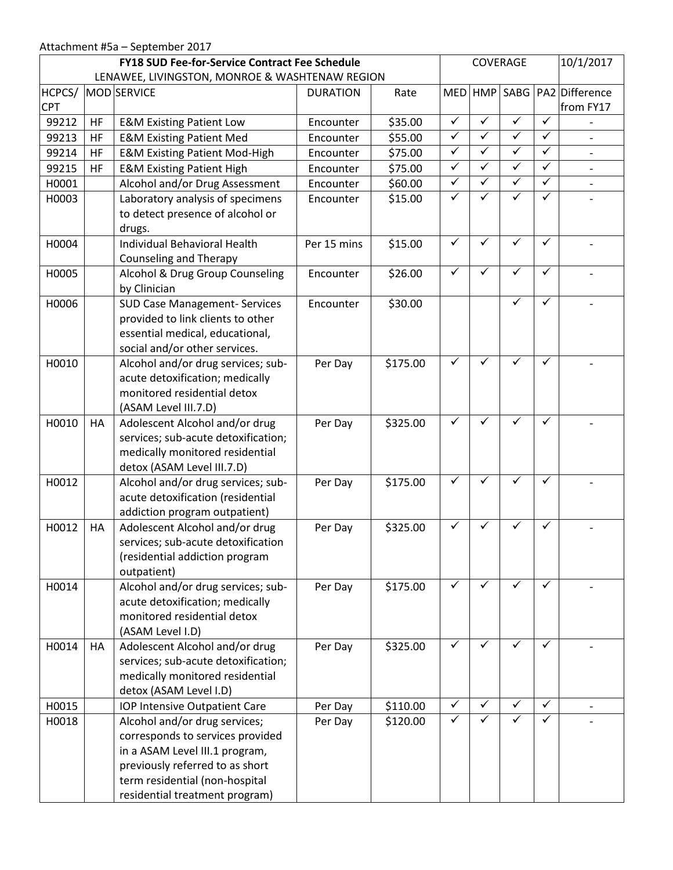## Attachment #5a – September 2017

|            |           | <b>FY18 SUD Fee-for-Service Contract Fee Schedule</b>                                                                                                                                                      |                 |          | COVERAGE                |                             |              | 10/1/2017    |                              |
|------------|-----------|------------------------------------------------------------------------------------------------------------------------------------------------------------------------------------------------------------|-----------------|----------|-------------------------|-----------------------------|--------------|--------------|------------------------------|
| HCPCS/     |           | LENAWEE, LIVINGSTON, MONROE & WASHTENAW REGION<br>MOD SERVICE                                                                                                                                              | <b>DURATION</b> | Rate     |                         | MED HMP SABG PA2 Difference |              |              |                              |
| <b>CPT</b> |           |                                                                                                                                                                                                            |                 |          |                         |                             |              |              | from FY17                    |
| 99212      | HF        | <b>E&amp;M Existing Patient Low</b>                                                                                                                                                                        | Encounter       | \$35.00  | $\checkmark$            | ✓                           | ✓            | ✓            | $\qquad \qquad \blacksquare$ |
| 99213      | HF        | <b>E&amp;M Existing Patient Med</b>                                                                                                                                                                        | Encounter       | \$55.00  | $\checkmark$            | ✓                           | $\checkmark$ | ✓            | $\frac{1}{2}$                |
| 99214      | <b>HF</b> | <b>E&amp;M Existing Patient Mod-High</b>                                                                                                                                                                   | Encounter       | \$75.00  | $\overline{\checkmark}$ | $\checkmark$                | $\checkmark$ | $\checkmark$ |                              |
| 99215      | <b>HF</b> | <b>E&amp;M Existing Patient High</b>                                                                                                                                                                       | Encounter       | \$75.00  | $\checkmark$            | $\checkmark$                | $\checkmark$ | ✓            | $\qquad \qquad -$            |
| H0001      |           | Alcohol and/or Drug Assessment                                                                                                                                                                             | Encounter       | \$60.00  | $\checkmark$            | ✓                           | ✓            | ✓            |                              |
| H0003      |           | Laboratory analysis of specimens<br>to detect presence of alcohol or<br>drugs.                                                                                                                             | Encounter       | \$15.00  | ✓                       | ✓                           |              | $\checkmark$ |                              |
| H0004      |           | <b>Individual Behavioral Health</b><br><b>Counseling and Therapy</b>                                                                                                                                       | Per 15 mins     | \$15.00  | ✓                       | ✓                           | ✓            | ✓            |                              |
| H0005      |           | Alcohol & Drug Group Counseling<br>by Clinician                                                                                                                                                            | Encounter       | \$26.00  | $\checkmark$            | ✓                           | ✓            | $\checkmark$ |                              |
| H0006      |           | <b>SUD Case Management- Services</b><br>provided to link clients to other<br>essential medical, educational,<br>social and/or other services.                                                              | Encounter       | \$30.00  |                         |                             |              | ✓            |                              |
| H0010      |           | Alcohol and/or drug services; sub-<br>acute detoxification; medically<br>monitored residential detox<br>(ASAM Level III.7.D)                                                                               | Per Day         | \$175.00 | ✓                       | ✓                           | ✓            | $\checkmark$ |                              |
| H0010      | HA        | Adolescent Alcohol and/or drug<br>services; sub-acute detoxification;<br>medically monitored residential<br>detox (ASAM Level III.7.D)                                                                     | Per Day         | \$325.00 | ✓                       | ✓                           |              | $\checkmark$ |                              |
| H0012      |           | Alcohol and/or drug services; sub-<br>acute detoxification (residential<br>addiction program outpatient)                                                                                                   | Per Day         | \$175.00 | $\checkmark$            | ✓                           | ✓            | $\checkmark$ |                              |
| H0012      | HA        | Adolescent Alcohol and/or drug<br>services; sub-acute detoxification<br>(residential addiction program<br>outpatient)                                                                                      | Per Day         | \$325.00 | ✓                       | ✓                           | ✓            | ✓            |                              |
| H0014      |           | Alcohol and/or drug services; sub-<br>acute detoxification; medically<br>monitored residential detox<br>(ASAM Level I.D)                                                                                   | Per Day         | \$175.00 | ✓                       | ✓                           | ✓            | $\checkmark$ |                              |
| H0014      | HA        | Adolescent Alcohol and/or drug<br>services; sub-acute detoxification;<br>medically monitored residential<br>detox (ASAM Level I.D)                                                                         | Per Day         | \$325.00 | $\checkmark$            | ✓                           | $\checkmark$ | $\checkmark$ |                              |
| H0015      |           | IOP Intensive Outpatient Care                                                                                                                                                                              | Per Day         | \$110.00 | $\checkmark$            | $\checkmark$                | $\checkmark$ | $\checkmark$ |                              |
| H0018      |           | Alcohol and/or drug services;<br>corresponds to services provided<br>in a ASAM Level III.1 program,<br>previously referred to as short<br>term residential (non-hospital<br>residential treatment program) | Per Day         | \$120.00 | $\checkmark$            | ✓                           | ✓            | ✓            |                              |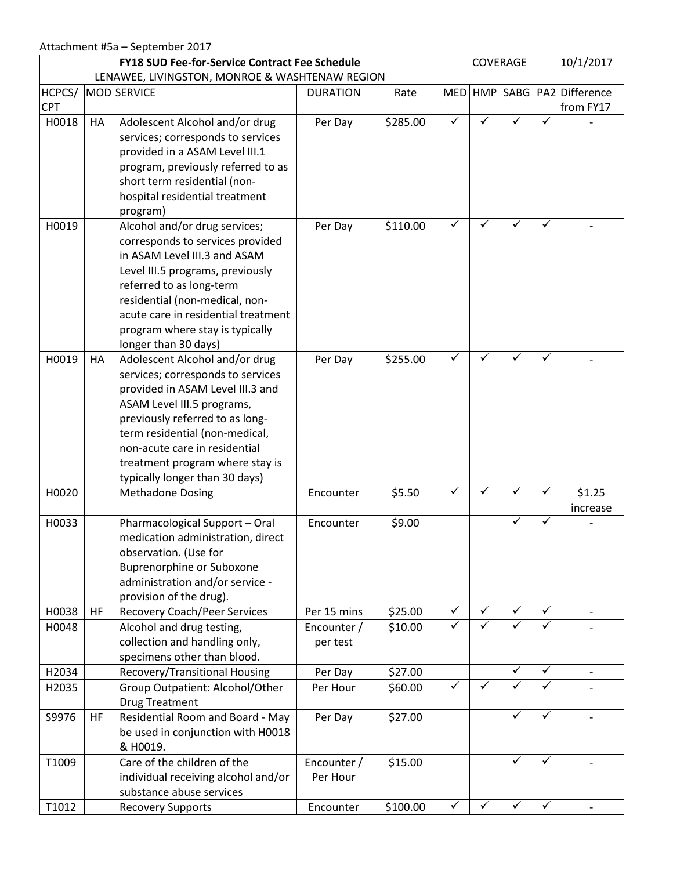|                      |     | <b>FY18 SUD Fee-for-Service Contract Fee Schedule</b>                                                                                                                                                                                                                                                            |                         |          |              | 10/1/2017<br>COVERAGE |              |              |                                          |
|----------------------|-----|------------------------------------------------------------------------------------------------------------------------------------------------------------------------------------------------------------------------------------------------------------------------------------------------------------------|-------------------------|----------|--------------|-----------------------|--------------|--------------|------------------------------------------|
|                      |     | LENAWEE, LIVINGSTON, MONROE & WASHTENAW REGION                                                                                                                                                                                                                                                                   |                         |          |              |                       |              |              |                                          |
| HCPCS/<br><b>CPT</b> |     | MOD SERVICE                                                                                                                                                                                                                                                                                                      | <b>DURATION</b>         | Rate     |              |                       |              |              | MED HMP SABG PA2 Difference<br>from FY17 |
| H0018                | HA  | Adolescent Alcohol and/or drug<br>services; corresponds to services<br>provided in a ASAM Level III.1<br>program, previously referred to as<br>short term residential (non-<br>hospital residential treatment<br>program)                                                                                        | Per Day                 | \$285.00 | ✓            |                       |              | ✓            |                                          |
| H0019                |     | Alcohol and/or drug services;<br>corresponds to services provided<br>in ASAM Level III.3 and ASAM<br>Level III.5 programs, previously<br>referred to as long-term<br>residential (non-medical, non-<br>acute care in residential treatment<br>program where stay is typically<br>longer than 30 days)            | Per Day                 | \$110.00 | ✓            | ✓                     | ✓            | ✓            |                                          |
| H0019                | HA  | Adolescent Alcohol and/or drug<br>services; corresponds to services<br>provided in ASAM Level III.3 and<br>ASAM Level III.5 programs,<br>previously referred to as long-<br>term residential (non-medical,<br>non-acute care in residential<br>treatment program where stay is<br>typically longer than 30 days) | Per Day                 | \$255.00 | ✓            | ✓                     |              | ✓            |                                          |
| H0020                |     | <b>Methadone Dosing</b>                                                                                                                                                                                                                                                                                          | Encounter               | \$5.50   | ✓            | ✓                     | ✓            | $\checkmark$ | \$1.25<br>increase                       |
| H0033                |     | Pharmacological Support - Oral<br>medication administration, direct<br>observation. (Use for<br><b>Buprenorphine or Suboxone</b><br>administration and/or service -<br>provision of the drug).                                                                                                                   | Encounter               | \$9.00   |              |                       | ✓            | ✓            |                                          |
| H0038                | HF  | <b>Recovery Coach/Peer Services</b>                                                                                                                                                                                                                                                                              | Per 15 mins             | \$25.00  | $\checkmark$ | ✓                     | ✓            | $\checkmark$ | $\qquad \qquad -$                        |
| H0048                |     | Alcohol and drug testing,<br>collection and handling only,<br>specimens other than blood.                                                                                                                                                                                                                        | Encounter /<br>per test | \$10.00  | ✓            | ✓                     | ✓            | ✓            |                                          |
| H2034                |     | Recovery/Transitional Housing                                                                                                                                                                                                                                                                                    | Per Day                 | \$27.00  |              |                       | ✓            | $\checkmark$ | $\overline{\phantom{a}}$                 |
| H2035                |     | Group Outpatient: Alcohol/Other<br><b>Drug Treatment</b>                                                                                                                                                                                                                                                         | Per Hour                | \$60.00  | ✓            | ✓                     | ✓            | ✓            |                                          |
| S9976                | HF. | Residential Room and Board - May<br>be used in conjunction with H0018<br>& H0019.                                                                                                                                                                                                                                | Per Day                 | \$27.00  |              |                       | ✓            | $\checkmark$ |                                          |
| T1009                |     | Care of the children of the<br>individual receiving alcohol and/or<br>substance abuse services                                                                                                                                                                                                                   | Encounter /<br>Per Hour | \$15.00  |              |                       | $\checkmark$ | ✓            |                                          |
| T1012                |     | <b>Recovery Supports</b>                                                                                                                                                                                                                                                                                         | Encounter               | \$100.00 | $\checkmark$ | ✓                     |              | $\checkmark$ |                                          |